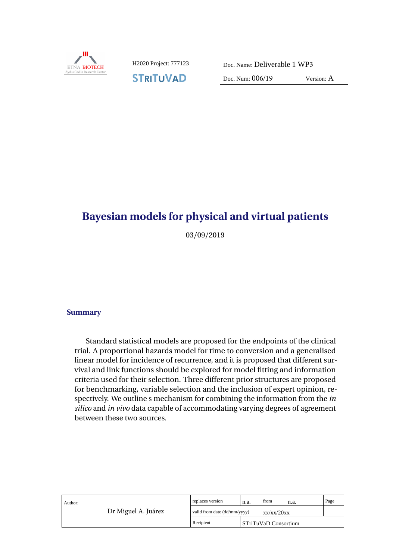

**STRITUVAD** 

Doc. Num: 006/19 Version: A

# **Bayesian models for physical and virtual patients**

03/09/2019

# Summary **Summary**

Standard statistical models are proposed for the endpoints of the clinical trial. A proportional hazards model for time to conversion and a generalised linear model for incidence of recurrence, and it is proposed that different survival and link functions should be explored for model fitting and information criteria used for their selection. Three different prior structures are proposed for benchmarking, variable selection and the inclusion of expert opinion, respectively. We outline s mechanism for combining the information from the *in silico* and *in vivo* data capable of accommodating varying degrees of agreement between these two sources.

| Author:<br>Dr Miguel A. Juárez | replaces version             | n.a. | from                   | n.a. | Page |
|--------------------------------|------------------------------|------|------------------------|------|------|
|                                | valid from date (dd/mm/yyyy) |      | xx/xx/20xx             |      |      |
|                                | Recipient                    |      | l STriTuVaD Consortium |      |      |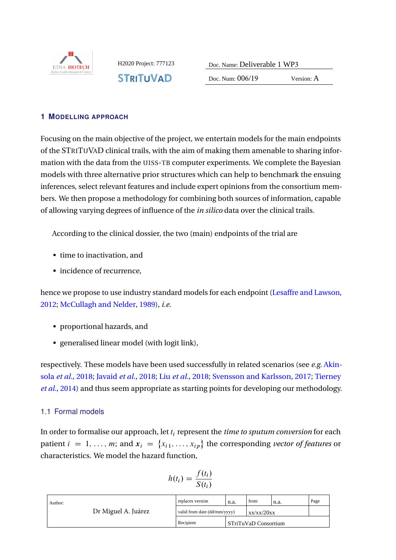

**STRITUVAD** 

H2020 Project: 777123 Doc. Name: Deliverable 1 WP3

Doc. Num: 006/19 Version: A

#### **1 MODELLING APPROACH**

meteries, select for the tank reduced and metade expert opmions from the consortium ment<br>bers. We then propose a methodology for combining both sources of information, capable Focusing on the main objective of the project, we entertain models for the main endpoints of the STRITUVAD clinical trails, with the aim of making them amenable to sharing information with the data from the UISS-TB computer experiments. We complete the Bayesian models with three alternative prior structures which can help to benchmark the ensuing inferences, select relevant features and include expert opinions from the consortium memof allowing varying degrees of influence of the *in silico* data over the clinical trails.

According to the clinical dossier, the two (main) endpoints of the trial are

- time to inactivation, and
- incidence of recurrence,

hence we propose to use industry standard models for each endpoint [\(Lesaffre and Lawson,](#page-6-0) [2012;](#page-6-0) [McCullagh and Nelder,](#page-6-1) [1989\)](#page-6-1), *i.e.*

- proportional hazards, and
- generalised linear model (with logit link),

respectively. These models have been used successfully in related scenarios (see *e.g.* [Akin](#page-5-0)sola *[et al.](#page-6-2)*, [2018;](#page-6-2) [Javaid](#page-5-1) *et al.*, 2018; Liu *et al.*, 2018; [Svensson and Karlsson,](#page-6-3) [2017;](#page-6-3) [Tierney](#page-6-4) *[et al.](#page-6-4)*, [2014\)](#page-6-4) and thus seem appropriate as starting points for developing our methodology.

# 1.1 Formal models

In order to formalise our approach, let  $t_i$  represent the  $\it time$  to sputum conversion for each patient  $i = 1, \ldots, m$ ; and  $x_i = \{x_{i1}, \ldots, x_{ip}\}$  the corresponding *vector of features* or characteristics. We model the hazard function,

$$
h(t_i) = \frac{f(t_i)}{S(t_i)}
$$

|  | Author:<br>Dr Miguel A. Juárez | replaces version                           | n.a. | from                 | n.a. | Page |
|--|--------------------------------|--------------------------------------------|------|----------------------|------|------|
|  |                                | valid from date (dd/mm/yyyy)<br>xx/xx/20xx |      |                      |      |      |
|  |                                | Recipient                                  |      | STriTuVaD Consortium |      |      |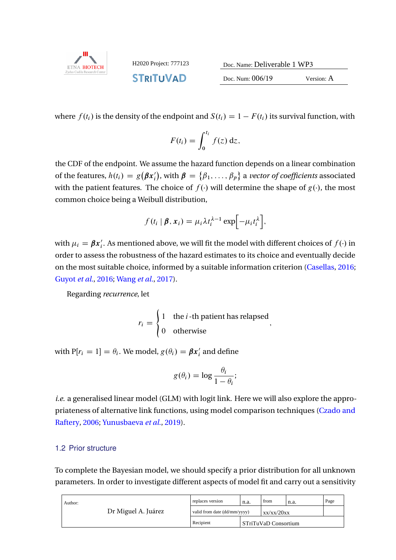

H2020 Project: 777123 **STRITUVAD** 

| Doc. Name: Deliverable 1 WP3 |            |  |  |  |  |
|------------------------------|------------|--|--|--|--|
| Doc. Num: $006/19$           | Version: A |  |  |  |  |

where  $f(t_i)$  is the density of the endpoint and  $S(t_i) = 1 - F(t_i)$  its survival function, with  $\mathcal{O}(1)$  version: And  $\mathcal{O}(1)$ 

$$
F(t_i) = \int_0^{t_i} f(z) \, \mathrm{d}z,
$$

∴*J* ∪ will ut<br>tion. the CDF of the endpoint. We assume the hazard function depends on a linear combination of the features,  $h(t_i) = g(\beta x'_i)$ , with  $\beta = \{\beta_1, \ldots, \beta_p\}$  a *vector of coefficients* associated with the patient features. The choice of  $f(\cdot)$  will determine the shape of  $g(\cdot)$ , the most common choice being a Weibull distribution,

$$
f(t_i | \boldsymbol{\beta}, \boldsymbol{x}_i) = \mu_i \lambda t_i^{\lambda - 1} \exp \left[-\mu_i t_i^{\lambda}\right],
$$

**Date** order to assess the robustness of the hazard estimates to its choice and eventually decide with  $\mu_i = \beta x'_i$ . As mentioned above, we will fit the model with different choices of  $f(\cdot)$  in on the most suitable choice, informed by a suitable information criterion [\(Casellas,](#page-5-2) [2016;](#page-5-2) [Guyot](#page-5-3) *et al.*, [2016;](#page-5-3) [Wang](#page-6-5) *et al.*, [2017\)](#page-6-5).

Regarding *recurrence*, let

$$
r_i = \begin{cases} 1 & \text{the } i \text{-th patient has relanged} \\ 0 & \text{otherwise} \end{cases}
$$

with P[ $r_i = 1$ ] =  $\theta_i$ . We model,  $g(\theta_i) = \boldsymbol{\beta} \boldsymbol{x}_i'$  and define

$$
g(\theta_i) = \log \frac{\theta_i}{1 - \theta_i};
$$

*i.e.* a generalised linear model (GLM) with logit link. Here we will also explore the appropriateness of alternative link functions, using model comparison techniques [\(Czado and](#page-5-4) [Raftery,](#page-5-4) [2006;](#page-5-4) [Yunusbaeva](#page-6-6) *et al.*, [2019\)](#page-6-6).

#### <span id="page-2-0"></span>1.2 Prior structure

To complete the Bayesian model, we should specify a prior distribution for all unknown parameters. In order to investigate different aspects of model fit and carry out a sensitivity

| Author:<br>Dr Miguel A. Juárez | replaces version             | n.a. | from                 | n.a. | Page |
|--------------------------------|------------------------------|------|----------------------|------|------|
|                                | valid from date (dd/mm/yyyy) |      | xx/xx/20xx           |      |      |
|                                | Recipient                    |      | STriTuVaD Consortium |      |      |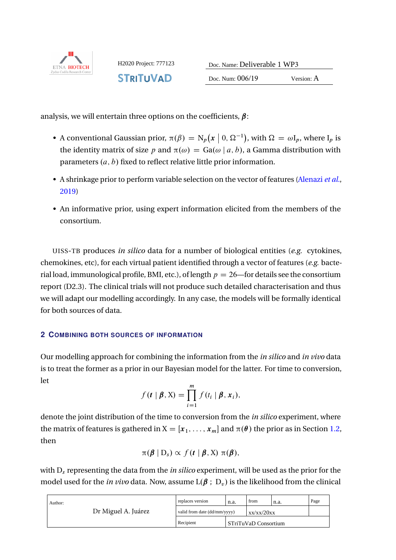

**STRITUVAD** 

Doc. Num: 006/19 Version: A

analysis, we will entertain three options on the coefficients,  $\beta$ :  $\sum_{i=1}^{n}$ 

- A conventional Gaussian prior,  $\pi(\beta) = N_p(x \mid 0, \Omega^{-1})$ , with  $\Omega = \omega I_p$ , where  $I_p$  is the identity matrix of size p and  $\pi(\omega) = Ga(\omega | a, b)$ , a Gamma distribution with parameters  $(a, b)$  fixed to reflect relative little prior information.
- A shrinkage prior to perform variable selection on the vector of features [\(Alenazi](#page-5-5) *et al.*, [2019\)](#page-5-5)
- An informative prior, using expert information elicited from the members of the consortium.

chemokines, etc), for each virtual patient identified through a vector of features (e.g. bacten source UISS-TB produces *in silico* data for a number of biological entities (e.g. cytokines, rial load, immunological profile, BMI, etc.), of length  $p = 26$ —for details see the consortium report (D2.3). The clinical trials will not produce such detailed characterisation and thus we will adapt our modelling accordingly. In any case, the models will be formally identical for both sources of data.

# **2 COMBINING BOTH SOURCES OF INFORMATION**

Our modelling approach for combining the information from the *in silico* and *in vivo* data is to treat the former as a prior in our Bayesian model for the latter. For time to conversion,<br>. let

$$
f(\mathbf{t} \mid \boldsymbol{\beta}, \mathbf{X}) = \prod_{i=1}^{m} f(t_i \mid \boldsymbol{\beta}, \mathbf{x}_i),
$$

the matrix of features is gathered in  $X = [x_1, \ldots, x_m]$  and  $\pi(\theta)$  the prior as in Section [1.2,](#page-2-0) denote the joint distribution of the time to conversion from the *in silico* experiment, where then

$$
\pi(\boldsymbol{\beta} \mid D_s) \propto f(t \mid \boldsymbol{\beta}, X) \; \pi(\boldsymbol{\beta}),
$$

with  $D_s$  representing the data from the *in silico* experiment, will be used as the prior for the model used for the *in vivo* data. Now, assume  $L(\beta : D_v)$  is the likelihood from the clinical

| Author:<br>Dr Miguel A. Juárez | replaces version                           | n.a. | from                   | n.a. | Page |
|--------------------------------|--------------------------------------------|------|------------------------|------|------|
|                                | valid from date (dd/mm/yyyy)<br>xx/xx/20xx |      |                        |      |      |
|                                | Recipient                                  |      | l STriTuVaD Consortium |      |      |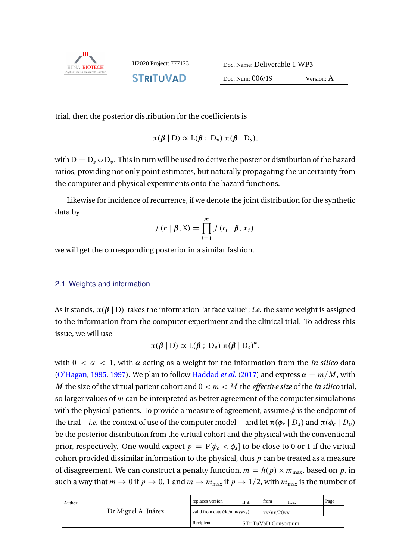

**STRITUVAD** 

H2020 Project: 777123 Doc. Name: Deliverable 1 WP3

Doc. Num: 006/19 Version: A

trial, then the posterior distribution for the coefficients is

$$
\pi(\boldsymbol{\beta} \mid D) \propto L(\boldsymbol{\beta} \; ; \; D_v) \; \pi(\boldsymbol{\beta} \mid D_s),
$$

with  $D = D_s \cup D_v$ . This in turn will be used to derive the posterior distribution of the hazard ratios, providing not only point estimates, but naturally propagating the uncertainty from the computer and physical experiments onto the hazard functions.

Likewise for incidence of recurrence, if we denote the joint distribution for the synthetic data by

$$
f(\mathbf{r} \mid \boldsymbol{\beta}, \mathbf{X}) = \prod_{i=1}^{m} f(r_i \mid \boldsymbol{\beta}, \mathbf{x}_i),
$$

we will get the corresponding posterior in a similar fashion.

#### 2.1 Weights and information

 $\frac{1}{2}$ As it stands,  $\pi(\beta | D)$  takes the information "at face value"; *i.e.* the same weight is assigned to the information from the computer experiment and the clinical trial. To address this issue, we will use

$$
\pi(\boldsymbol{\beta} \mid D) \propto L(\boldsymbol{\beta} \; ; \; D_v) \; \pi(\boldsymbol{\beta} \mid D_s)^{\alpha},
$$

be the posterior distribution from the virtual cohort and the physical with the conventional prior, respectively. One would expect  $p = P[\phi_c < \phi_s]$  to be close to 0 or 1 if the virtual cohort provided dissimilar information to the physical, thus  $p$  can be treated as a measure with  $0 < \alpha < 1$ , with  $\alpha$  acting as a weight for the information from the *in silico* data [\(O'Hagan,](#page-6-7) [1995,](#page-6-7) [1997\)](#page-6-8). We plan to follow [Haddad](#page-5-6) *et al.* [\(2017\)](#page-5-6) and express  $\alpha = m/M$ , with M the size of the virtual patient cohort and  $0 < m < M$  the *effective size* of the *in silico* trial, so larger values of  $m$  can be interpreted as better agreement of the computer simulations with the physical patients. To provide a measure of agreement, assume  $\phi$  is the endpoint of the trial—*i.e.* the context of use of the computer model— and let  $\pi(\phi_s | D_s)$  and  $\pi(\phi_c | D_v)$ of disagreement. We can construct a penalty function,  $m = h(p) \times m_{\text{max}}$ , based on p, in such a way that  $m \to 0$  if  $p \to 0$ , 1 and  $m \to m_{\text{max}}$  if  $p \to 1/2$ , with  $m_{\text{max}}$  is the number of

| Author:<br>Dr Miguel A. Juárez | replaces version             | n.a. | from<br>n.a.         |  | Page |
|--------------------------------|------------------------------|------|----------------------|--|------|
|                                | valid from date (dd/mm/yyyy) |      | xx/xx/20xx           |  |      |
|                                | Recipient                    |      | STriTuVaD Consortium |  |      |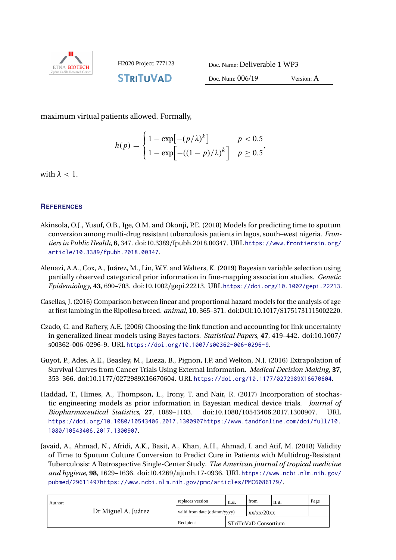

**STRITUVAD** 

Doc. Num: 006/19 Version: A

maximum virtual patients allowed. Formally,

$$
h(p) = \begin{cases} 1 - \exp[-(p/\lambda)^k] & p < 0.5 \\ 1 - \exp[-((1-p)/\lambda)^k] & p \ge 0.5 \end{cases}
$$

with  $\lambda < 1$ .

# **REFERENCES**

- <span id="page-5-0"></span>Akinsola, O.J., Yusuf, O.B., Ige, O.M. and Okonji, P.E. (2018) Models for predicting time to sputum conversion among multi-drug resistant tuberculosis patients in lagos, south–west nigeria. *Frontiers in Public Health*, **6**, 347. doi:10.3389/fpubh.2018.00347. URL [https://www.frontiersin.org/](https://www.frontiersin.org/article/10.3389/fpubh.2018.00347)<br>article/10\_3389/fpubb\_2018\_00347 [article/10.3389/fpubh.2018.00347](https://www.frontiersin.org/article/10.3389/fpubh.2018.00347).
- <span id="page-5-5"></span>Alenazi, A.A., Cox, A., Juárez, M., Lin, W.Y. and Walters, K. (2019) Bayesian variable selection using partially observed categorical prior information in fine-mapping association studies. *Genetic Epidemiology*, **43**, 690–703. doi:10.1002/gepi.22213. URL <https://doi.org/10.1002/gepi.22213>.
- <span id="page-5-2"></span>at first lambing in the Ripollesa breed. *animal*, **10**, 365–371. doi:DOI:10.1017/S1751731115002220. Casellas, J. (2016) Comparison between linear and proportional hazard models for the analysis of age
- <span id="page-5-4"></span>Czado, C. and Raftery, A.E. (2006) Choosing the link function and accounting for link uncertainty in generalized linear models using Bayes factors. *Statistical Papers*, **47**, 419–442. doi:10.1007/ s00362-006-0296-9. URL <https://doi.org/10.1007/s00362-006-0296-9>.
- <span id="page-5-3"></span>Guyot, P., Ades, A.E., Beasley, M., Lueza, B., Pignon, J.P. and Welton, N.J. (2016) Extrapolation of Survival Curves from Cancer Trials Using External Information. *Medical Decision Making*, **37**, 353–366. doi:10.1177/0272989X16670604. URL <https://doi.org/10.1177/0272989X16670604>. Summary
- <span id="page-5-6"></span> $A$  ,  $A$  ,  $A$  ,  $A$  ,  $A$  ,  $A$  ,  $A$  ,  $A$  ,  $A$  ,  $A$  ,  $A$  ,  $A$  ,  $A$  ,  $A$  ,  $A$  ,  $A$  ,  $A$  ,  $A$  ,  $A$  ,  $A$  ,  $A$  ,  $A$  ,  $A$  ,  $A$  ,  $A$  ,  $A$  ,  $A$  ,  $A$  ,  $A$  ,  $A$  ,  $A$  ,  $A$  ,  $A$  ,  $A$  ,  $A$  ,  $A$  ,  $A$  , Haddad, T., Himes, A., Thompson, L., Irony, T. and Nair, R. (2017) Incorporation of stochastic engineering models as prior information in Bayesian medical device trials. *Journal of Biopharmaceutical Statistics*, **27**, 1089–1103. doi:10.1080/10543406.2017.1300907. URL [https://doi.org/10.1080/10543406.2017.1300907https://www.tandfonline.com/doi/full/10.](https://doi.org/10.1080/10543406.2017.1300907 https://www.tandfonline.com/doi/full/10.1080/10543406.2017.1300907) [1080/10543406.2017.1300907](https://doi.org/10.1080/10543406.2017.1300907 https://www.tandfonline.com/doi/full/10.1080/10543406.2017.1300907).
- <span id="page-5-1"></span>Javaid, A., Ahmad, N., Afridi, A.K., Basit, A., Khan, A.H., Ahmad, I. and Atif, M. (2018) Validity of Time to Sputum Culture Conversion to Predict Cure in Patients with Multidrug-Resistant Tuberculosis: A Retrospective Single-Center Study. *The American journal of tropical medicine and hygiene*, **98**, 1629–1636. doi:10.4269/ajtmh.17-0936. URL [https://www.ncbi.nlm.nih.gov/](https://www.ncbi.nlm.nih.gov/pubmed/29611497 https://www.ncbi.nlm.nih.gov/pmc/articles/PMC6086179/) [pubmed/29611497https://www.ncbi.nlm.nih.gov/pmc/articles/PMC6086179/](https://www.ncbi.nlm.nih.gov/pubmed/29611497 https://www.ncbi.nlm.nih.gov/pmc/articles/PMC6086179/).

| Author:<br>Dr Miguel A. Juárez | replaces version             | n.a. | from                   | n.a. | Page |
|--------------------------------|------------------------------|------|------------------------|------|------|
|                                | valid from date (dd/mm/yyyy) |      | xx/xx/20xx             |      |      |
|                                | Recipient                    |      | l STriTuVaD Consortium |      |      |